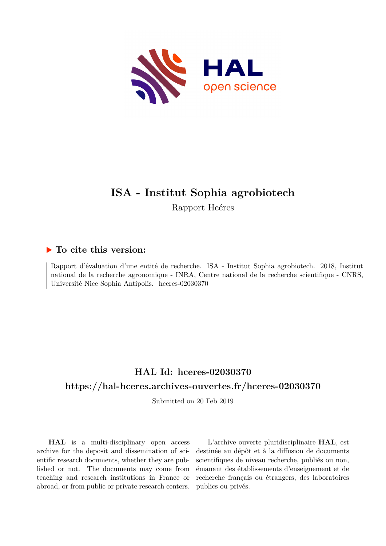

## **ISA - Institut Sophia agrobiotech** Rapport Hcéres

### **To cite this version:**

Rapport d'évaluation d'une entité de recherche. ISA - Institut Sophia agrobiotech. 2018, Institut national de la recherche agronomique - INRA, Centre national de la recherche scientifique - CNRS, Université Nice Sophia Antipolis. hceres-02030370

## **HAL Id: hceres-02030370 <https://hal-hceres.archives-ouvertes.fr/hceres-02030370>**

Submitted on 20 Feb 2019

**HAL** is a multi-disciplinary open access archive for the deposit and dissemination of scientific research documents, whether they are published or not. The documents may come from teaching and research institutions in France or abroad, or from public or private research centers.

L'archive ouverte pluridisciplinaire **HAL**, est destinée au dépôt et à la diffusion de documents scientifiques de niveau recherche, publiés ou non, émanant des établissements d'enseignement et de recherche français ou étrangers, des laboratoires publics ou privés.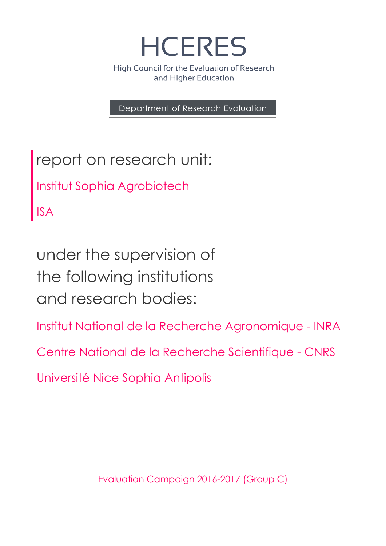

High Council for the Evaluation of Research and Higher Education

Department of Research Evaluation

report on research unit: Institut Sophia Agrobiotech ISA

under the supervision of the following institutions and research bodies:

Institut National de la Recherche Agronomique - INRA

Centre National de la Recherche Scientifique - CNRS

Université Nice Sophia Antipolis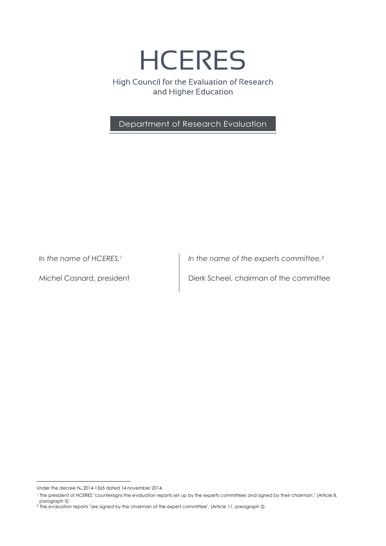**HCERES** 

High Council for the Evaluation of Research and Higher Education

Department of Research Evaluation

*In the name of HCERES,<sup>1</sup>*

Michel Cosnard, president

*In the name of the experts committee,<sup>2</sup>*

Dierk Scheel, chairman of the committee

1

Under the decree  $N_0$  2014-1365 dated 14 november 2014,

<sup>1</sup> The president of HCERES "countersigns the evaluation reports set up by the experts committees and signed by their chairman." (Article 8, paragraph 5)

<sup>2</sup> The evaluation reports "are signed by the chairman of the expert committee". (Article 11, paragraph 2)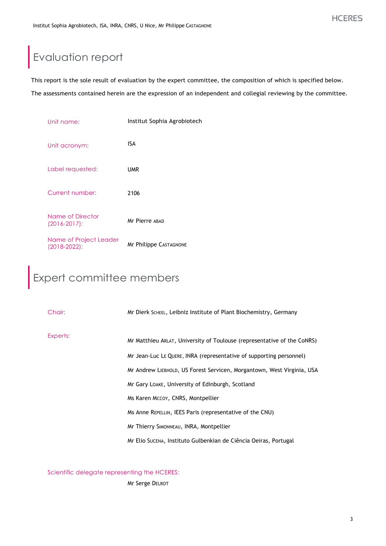# Evaluation report

This report is the sole result of evaluation by the expert committee, the composition of which is specified below.

The assessments contained herein are the expression of an independent and collegial reviewing by the committee.

| Unit name:                                  | Institut Sophia Agrobiotech |
|---------------------------------------------|-----------------------------|
| Unit acronym:                               | ISA                         |
| Label requested:                            | <b>UMR</b>                  |
| Current number:                             | 2106                        |
| Name of Director<br>$(2016 - 2017)$ :       | Mr Pierre ABAD              |
| Name of Project Leader<br>$(2018 - 2022)$ : | Mr Philippe CASTAGNONE      |

# Expert committee members

| Chair:   | Mr Dierk SCHEEL, Leibniz Institute of Plant Biochemistry, Germany       |
|----------|-------------------------------------------------------------------------|
| Experts: | Mr Matthieu ARLAT, University of Toulouse (representative of the CoNRS) |
|          | Mr Jean-Luc LE QUERE, INRA (representative of supporting personnel)     |
|          | Mr Andrew LIEBHOLD, US Forest Servicen, Morgantown, West Virginia, USA  |
|          | Mr Gary LOAKE, University of Edinburgh, Scotland                        |
|          | Ms Karen Mccoy, CNRS, Montpellier                                       |
|          | Ms Anne REPELLIN, IEES Paris (representative of the CNU)                |
|          | Mr Thierry SIMONNEAU, INRA, Montpellier                                 |
|          | Mr Elio Sucena, Instituto Gulbenkian de Ciência Oeiras, Portugal        |

Scientific delegate representing the HCERES:

Mr Serge DELROT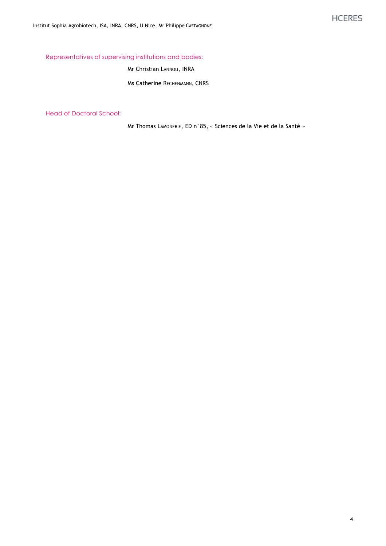Representatives of supervising institutions and bodies:

Mr Christian LANNOU, INRA

Ms Catherine RECHENMANN, CNRS

Head of Doctoral School:

Mr Thomas LAMONERIE, ED n°85, « Sciences de la Vie et de la Santé »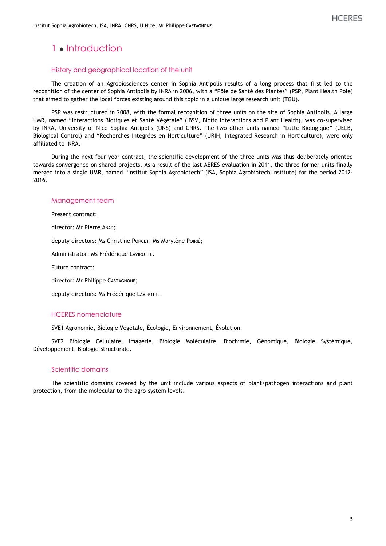## 1 · Introduction

#### History and geographical location of the unit

The creation of an Agrobiosciences center in Sophia Antipolis results of a long process that first led to the recognition of the center of Sophia Antipolis by INRA in 2006, with a "Pôle de Santé des Plantes" (PSP, Plant Health Pole) that aimed to gather the local forces existing around this topic in a unique large research unit (TGU).

PSP was restructured in 2008, with the formal recognition of three units on the site of Sophia Antipolis. A large UMR, named "Interactions Biotiques et Santé Végétale" (IBSV, Biotic Interactions and Plant Health), was co-supervised by INRA, University of Nice Sophia Antipolis (UNS) and CNRS. The two other units named "Lutte Biologique" (UELB, Biological Control) and "Recherches Intégrées en Horticulture" (URIH, Integrated Research in Horticulture), were only affiliated to INRA.

During the next four-year contract, the scientific development of the three units was thus deliberately oriented towards convergence on shared projects. As a result of the last AERES evaluation in 2011, the three former units finally merged into a single UMR, named "Institut Sophia Agrobiotech" (ISA, Sophia Agrobiotech Institute) for the period 2012- 2016.

#### Management team

Present contract:

director: Mr Pierre ABAD;

deputy directors: Ms Christine PONCET, Ms Marylène POIRIÉ;

Administrator: Ms Frédérique LAVIROTTE.

Future contract:

director: Mr Philippe CASTAGNONE;

deputy directors: Ms Frédérique LAVIROTTE.

#### HCERES nomenclature

SVE1 Agronomie, Biologie Végétale, Écologie, Environnement, Évolution.

SVE2 Biologie Cellulaire, Imagerie, Biologie Moléculaire, Biochimie, Génomique, Biologie Systémique, Développement, Biologie Structurale.

#### Scientific domains

The scientific domains covered by the unit include various aspects of plant/pathogen interactions and plant protection, from the molecular to the agro-system levels.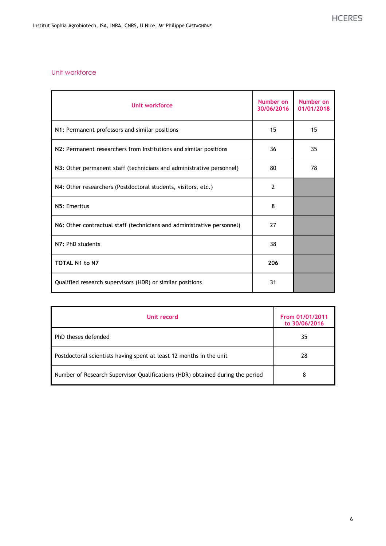#### Unit workforce

| Unit workforce                                                         | Number on<br>30/06/2016 | Number on<br>01/01/2018 |
|------------------------------------------------------------------------|-------------------------|-------------------------|
| N1: Permanent professors and similar positions                         | 15                      | 15                      |
| N2: Permanent researchers from Institutions and similar positions      | 36                      | 35                      |
| N3: Other permanent staff (technicians and administrative personnel)   | 80                      | 78                      |
| N4: Other researchers (Postdoctoral students, visitors, etc.)          | $\overline{2}$          |                         |
| N5: Emeritus                                                           | 8                       |                         |
| N6: Other contractual staff (technicians and administrative personnel) | 27                      |                         |
| N7: PhD students                                                       | 38                      |                         |
| <b>TOTAL N1 to N7</b>                                                  | 206                     |                         |
| Qualified research supervisors (HDR) or similar positions              | 31                      |                         |

| Unit record                                                                   | From 01/01/2011<br>to 30/06/2016 |
|-------------------------------------------------------------------------------|----------------------------------|
| PhD theses defended                                                           | 35                               |
| Postdoctoral scientists having spent at least 12 months in the unit           | 28                               |
| Number of Research Supervisor Qualifications (HDR) obtained during the period | 8                                |